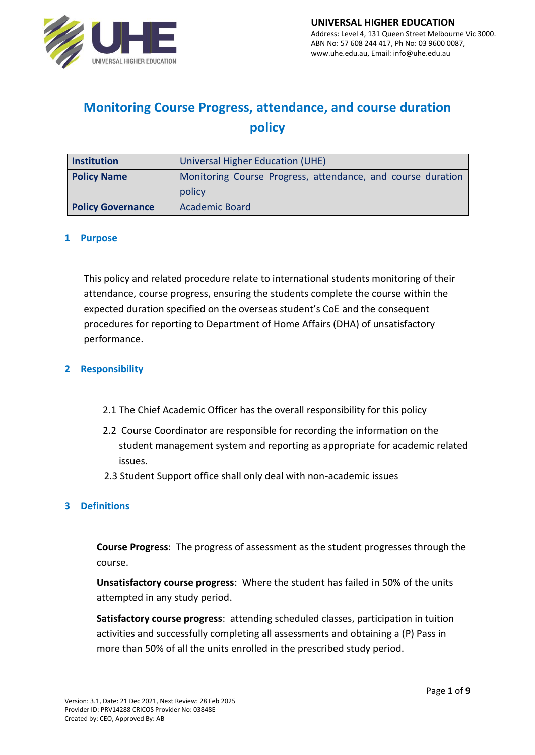

# **Monitoring Course Progress, attendance, and course duration policy**

| <b>Institution</b>       | Universal Higher Education (UHE)                            |  |
|--------------------------|-------------------------------------------------------------|--|
| <b>Policy Name</b>       | Monitoring Course Progress, attendance, and course duration |  |
|                          | policy                                                      |  |
| <b>Policy Governance</b> | <b>Academic Board</b>                                       |  |

#### **1 Purpose**

This policy and related procedure relate to international students monitoring of their attendance, course progress, ensuring the students complete the course within the expected duration specified on the overseas student's CoE and the consequent procedures for reporting to Department of Home Affairs (DHA) of unsatisfactory performance.

#### **2 Responsibility**

- 2.1 The Chief Academic Officer has the overall responsibility for this policy
- 2.2 Course Coordinator are responsible for recording the information on the student management system and reporting as appropriate for academic related issues.
- 2.3 Student Support office shall only deal with non-academic issues

#### **3 Definitions**

**Course Progress**: The progress of assessment as the student progresses through the course.

**Unsatisfactory course progress**: Where the student has failed in 50% of the units attempted in any study period.

**Satisfactory course progress**: attending scheduled classes, participation in tuition activities and successfully completing all assessments and obtaining a (P) Pass in more than 50% of all the units enrolled in the prescribed study period.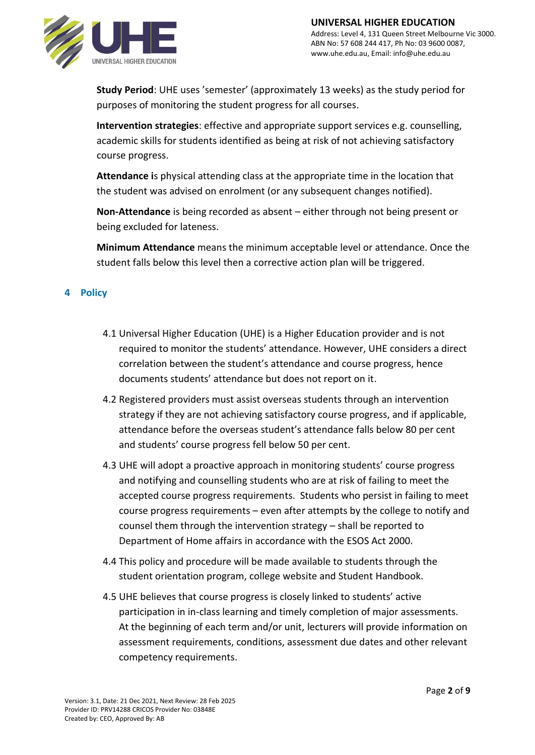

**Study Period**: UHE uses 'semester' (approximately 13 weeks) as the study period for purposes of monitoring the student progress for all courses.

**Intervention strategies**: effective and appropriate support services e.g. counselling, academic skills for students identified as being at risk of not achieving satisfactory course progress.

**Attendance i**s physical attending class at the appropriate time in the location that the student was advised on enrolment (or any subsequent changes notified).

**Non-Attendance** is being recorded as absent – either through not being present or being excluded for lateness.

**Minimum Attendance** means the minimum acceptable level or attendance. Once the student falls below this level then a corrective action plan will be triggered.

# **4 Policy**

- 4.1 Universal Higher Education (UHE) is a Higher Education provider and is not required to monitor the students' attendance. However, UHE considers a direct correlation between the student's attendance and course progress, hence documents students' attendance but does not report on it.
- 4.2 Registered providers must assist overseas students through an intervention strategy if they are not achieving satisfactory course progress, and if applicable, attendance before the overseas student's attendance falls below 80 per cent and students' course progress fell below 50 per cent.
- 4.3 UHE will adopt a proactive approach in monitoring students' course progress and notifying and counselling students who are at risk of failing to meet the accepted course progress requirements. Students who persist in failing to meet course progress requirements – even after attempts by the college to notify and counsel them through the intervention strategy – shall be reported to Department of Home affairs in accordance with the ESOS Act 2000.
- 4.4 This policy and procedure will be made available to students through the student orientation program, college website and Student Handbook.
- 4.5 UHE believes that course progress is closely linked to students' active participation in in-class learning and timely completion of major assessments. At the beginning of each term and/or unit, lecturers will provide information on assessment requirements, conditions, assessment due dates and other relevant competency requirements.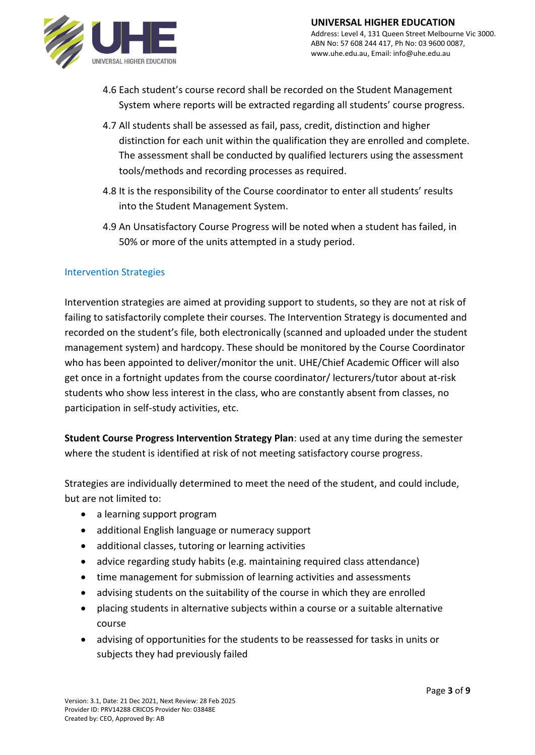

- 4.6 Each student's course record shall be recorded on the Student Management System where reports will be extracted regarding all students' course progress.
- 4.7 All students shall be assessed as fail, pass, credit, distinction and higher distinction for each unit within the qualification they are enrolled and complete. The assessment shall be conducted by qualified lecturers using the assessment tools/methods and recording processes as required.
- 4.8 It is the responsibility of the Course coordinator to enter all students' results into the Student Management System.
- 4.9 An Unsatisfactory Course Progress will be noted when a student has failed, in 50% or more of the units attempted in a study period.

# Intervention Strategies

Intervention strategies are aimed at providing support to students, so they are not at risk of failing to satisfactorily complete their courses. The Intervention Strategy is documented and recorded on the student's file, both electronically (scanned and uploaded under the student management system) and hardcopy. These should be monitored by the Course Coordinator who has been appointed to deliver/monitor the unit. UHE/Chief Academic Officer will also get once in a fortnight updates from the course coordinator/ lecturers/tutor about at-risk students who show less interest in the class, who are constantly absent from classes, no participation in self-study activities, etc.

**Student Course Progress Intervention Strategy Plan**: used at any time during the semester where the student is identified at risk of not meeting satisfactory course progress.

Strategies are individually determined to meet the need of the student, and could include, but are not limited to:

- a learning support program
- additional English language or numeracy support
- additional classes, tutoring or learning activities
- advice regarding study habits (e.g. maintaining required class attendance)
- time management for submission of learning activities and assessments
- advising students on the suitability of the course in which they are enrolled
- placing students in alternative subjects within a course or a suitable alternative course
- advising of opportunities for the students to be reassessed for tasks in units or subjects they had previously failed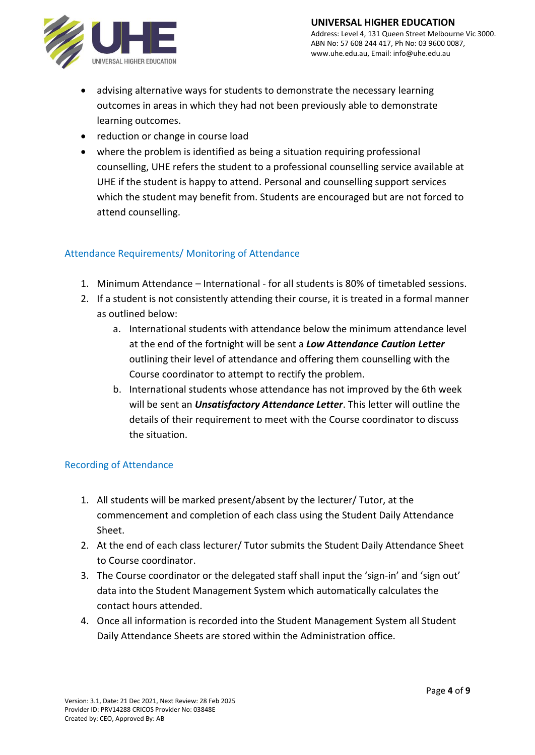

- advising alternative ways for students to demonstrate the necessary learning outcomes in areas in which they had not been previously able to demonstrate learning outcomes.
- reduction or change in course load
- where the problem is identified as being a situation requiring professional counselling, UHE refers the student to a professional counselling service available at UHE if the student is happy to attend. Personal and counselling support services which the student may benefit from. Students are encouraged but are not forced to attend counselling.

#### Attendance Requirements/ Monitoring of Attendance

- 1. Minimum Attendance International for all students is 80% of timetabled sessions.
- 2. If a student is not consistently attending their course, it is treated in a formal manner as outlined below:
	- a. International students with attendance below the minimum attendance level at the end of the fortnight will be sent a *Low Attendance Caution Letter* outlining their level of attendance and offering them counselling with the Course coordinator to attempt to rectify the problem.
	- b. International students whose attendance has not improved by the 6th week will be sent an *Unsatisfactory Attendance Letter*. This letter will outline the details of their requirement to meet with the Course coordinator to discuss the situation.

#### Recording of Attendance

- 1. All students will be marked present/absent by the lecturer/ Tutor, at the commencement and completion of each class using the Student Daily Attendance Sheet.
- 2. At the end of each class lecturer/ Tutor submits the Student Daily Attendance Sheet to Course coordinator.
- 3. The Course coordinator or the delegated staff shall input the 'sign-in' and 'sign out' data into the Student Management System which automatically calculates the contact hours attended.
- 4. Once all information is recorded into the Student Management System all Student Daily Attendance Sheets are stored within the Administration office.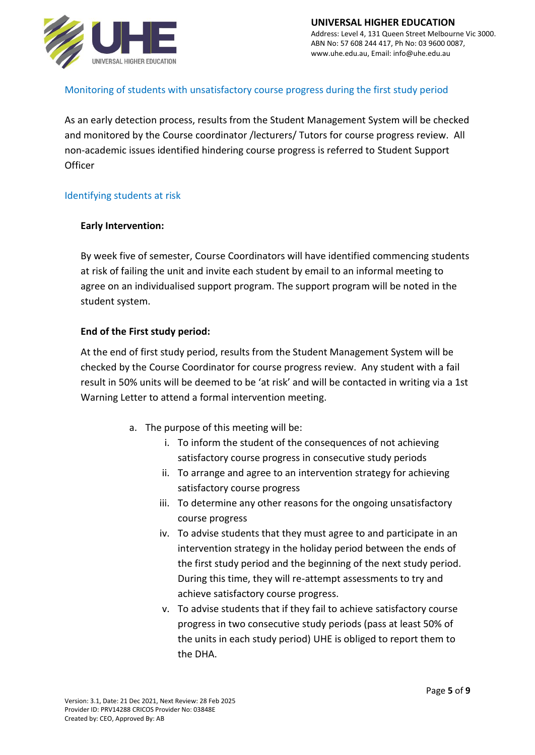

# Monitoring of students with unsatisfactory course progress during the first study period

As an early detection process, results from the Student Management System will be checked and monitored by the Course coordinator /lecturers/ Tutors for course progress review. All non-academic issues identified hindering course progress is referred to Student Support **Officer** 

#### Identifying students at risk

#### **Early Intervention:**

By week five of semester, Course Coordinators will have identified commencing students at risk of failing the unit and invite each student by email to an informal meeting to agree on an individualised support program. The support program will be noted in the student system.

#### **End of the First study period:**

At the end of first study period, results from the Student Management System will be checked by the Course Coordinator for course progress review. Any student with a fail result in 50% units will be deemed to be 'at risk' and will be contacted in writing via a 1st Warning Letter to attend a formal intervention meeting.

- a. The purpose of this meeting will be:
	- i. To inform the student of the consequences of not achieving satisfactory course progress in consecutive study periods
	- ii. To arrange and agree to an intervention strategy for achieving satisfactory course progress
	- iii. To determine any other reasons for the ongoing unsatisfactory course progress
	- iv. To advise students that they must agree to and participate in an intervention strategy in the holiday period between the ends of the first study period and the beginning of the next study period. During this time, they will re-attempt assessments to try and achieve satisfactory course progress.
	- v. To advise students that if they fail to achieve satisfactory course progress in two consecutive study periods (pass at least 50% of the units in each study period) UHE is obliged to report them to the DHA.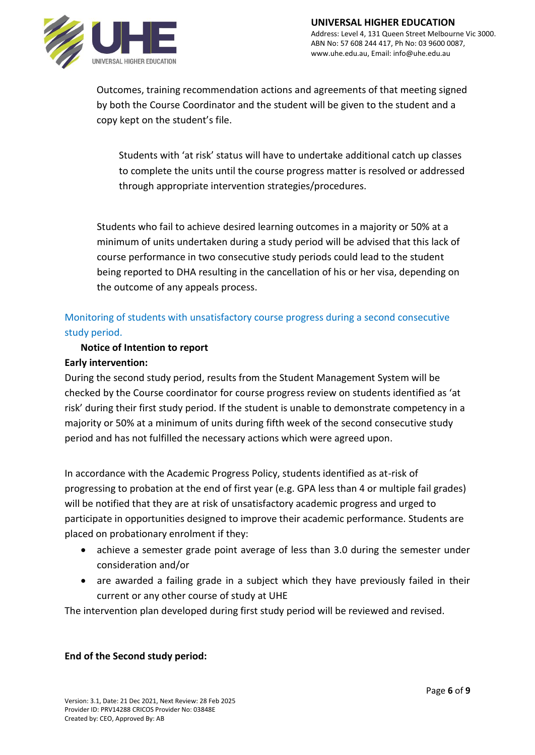Outcomes, training recommendation actions and agreements of that meeting signed by both the Course Coordinator and the student will be given to the student and a copy kept on the student's file.

Students with 'at risk' status will have to undertake additional catch up classes to complete the units until the course progress matter is resolved or addressed through appropriate intervention strategies/procedures.

Students who fail to achieve desired learning outcomes in a majority or 50% at a minimum of units undertaken during a study period will be advised that this lack of course performance in two consecutive study periods could lead to the student being reported to DHA resulting in the cancellation of his or her visa, depending on the outcome of any appeals process.

# Monitoring of students with unsatisfactory course progress during a second consecutive study period.

# **Notice of Intention to report**

# **Early intervention:**

During the second study period, results from the Student Management System will be checked by the Course coordinator for course progress review on students identified as 'at risk' during their first study period. If the student is unable to demonstrate competency in a majority or 50% at a minimum of units during fifth week of the second consecutive study period and has not fulfilled the necessary actions which were agreed upon.

In accordance with the Academic Progress Policy, students identified as at-risk of progressing to probation at the end of first year (e.g. GPA less than 4 or multiple fail grades) will be notified that they are at risk of unsatisfactory academic progress and urged to participate in opportunities designed to improve their academic performance. Students are placed on probationary enrolment if they:

- achieve a semester grade point average of less than 3.0 during the semester under consideration and/or
- are awarded a failing grade in a subject which they have previously failed in their current or any other course of study at UHE

The intervention plan developed during first study period will be reviewed and revised.

# **End of the Second study period:**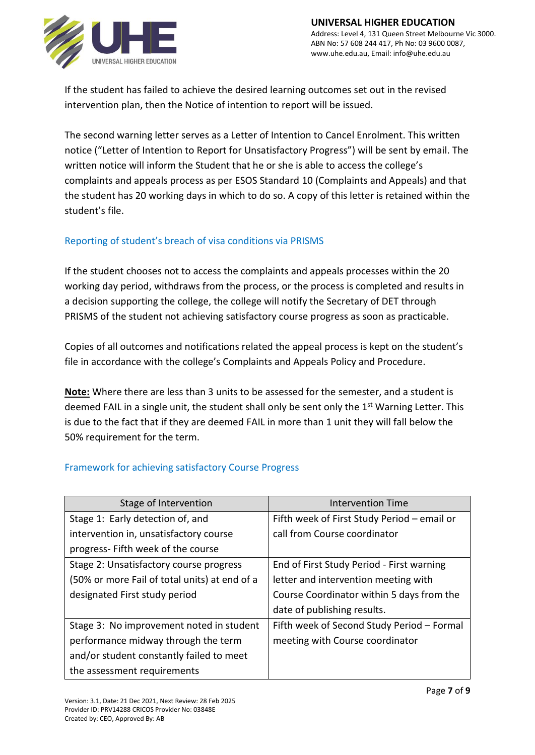

If the student has failed to achieve the desired learning outcomes set out in the revised intervention plan, then the Notice of intention to report will be issued.

The second warning letter serves as a Letter of Intention to Cancel Enrolment. This written notice ("Letter of Intention to Report for Unsatisfactory Progress") will be sent by email. The written notice will inform the Student that he or she is able to access the college's complaints and appeals process as per ESOS Standard 10 (Complaints and Appeals) and that the student has 20 working days in which to do so. A copy of this letter is retained within the student's file.

# Reporting of student's breach of visa conditions via PRISMS

If the student chooses not to access the complaints and appeals processes within the 20 working day period, withdraws from the process, or the process is completed and results in a decision supporting the college, the college will notify the Secretary of DET through PRISMS of the student not achieving satisfactory course progress as soon as practicable.

Copies of all outcomes and notifications related the appeal process is kept on the student's file in accordance with the college's Complaints and Appeals Policy and Procedure.

**Note:** Where there are less than 3 units to be assessed for the semester, and a student is deemed FAIL in a single unit, the student shall only be sent only the 1<sup>st</sup> Warning Letter. This is due to the fact that if they are deemed FAIL in more than 1 unit they will fall below the 50% requirement for the term.

# Framework for achieving satisfactory Course Progress

| Stage of Intervention                         | <b>Intervention Time</b>                    |
|-----------------------------------------------|---------------------------------------------|
| Stage 1: Early detection of, and              | Fifth week of First Study Period - email or |
| intervention in, unsatisfactory course        | call from Course coordinator                |
| progress- Fifth week of the course            |                                             |
| Stage 2: Unsatisfactory course progress       | End of First Study Period - First warning   |
| (50% or more Fail of total units) at end of a | letter and intervention meeting with        |
| designated First study period                 | Course Coordinator within 5 days from the   |
|                                               | date of publishing results.                 |
| Stage 3: No improvement noted in student      | Fifth week of Second Study Period - Formal  |
| performance midway through the term           | meeting with Course coordinator             |
| and/or student constantly failed to meet      |                                             |
| the assessment requirements                   |                                             |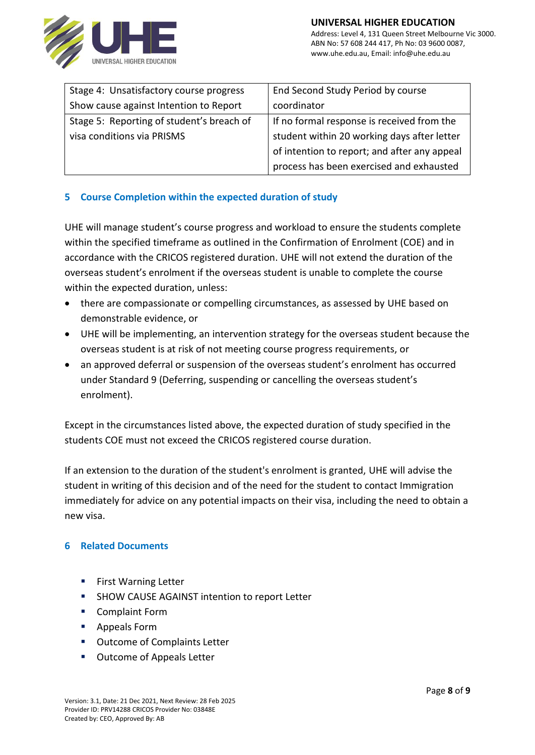

| Stage 4: Unsatisfactory course progress   | End Second Study Period by course            |
|-------------------------------------------|----------------------------------------------|
| Show cause against Intention to Report    | coordinator                                  |
| Stage 5: Reporting of student's breach of | If no formal response is received from the   |
| visa conditions via PRISMS                | student within 20 working days after letter  |
|                                           | of intention to report; and after any appeal |
|                                           | process has been exercised and exhausted     |

# **5 Course Completion within the expected duration of study**

UHE will manage student's course progress and workload to ensure the students complete within the specified timeframe as outlined in the Confirmation of Enrolment (COE) and in accordance with the CRICOS registered duration. UHE will not extend the duration of the overseas student's enrolment if the overseas student is unable to complete the course within the expected duration, unless:

- there are compassionate or compelling circumstances, as assessed by UHE based on demonstrable evidence, or
- UHE will be implementing, an intervention strategy for the overseas student because the overseas student is at risk of not meeting course progress requirements, or
- an approved deferral or suspension of the overseas student's enrolment has occurred under Standard 9 (Deferring, suspending or cancelling the overseas student's enrolment).

Except in the circumstances listed above, the expected duration of study specified in the students COE must not exceed the CRICOS registered course duration.

If an extension to the duration of the student's enrolment is granted, UHE will advise the student in writing of this decision and of the need for the student to contact Immigration immediately for advice on any potential impacts on their visa, including the need to obtain a new visa.

#### **6 Related Documents**

- First Warning Letter
- **E** SHOW CAUSE AGAINST intention to report Letter
- Complaint Form
- Appeals Form
- Outcome of Complaints Letter
- Outcome of Appeals Letter